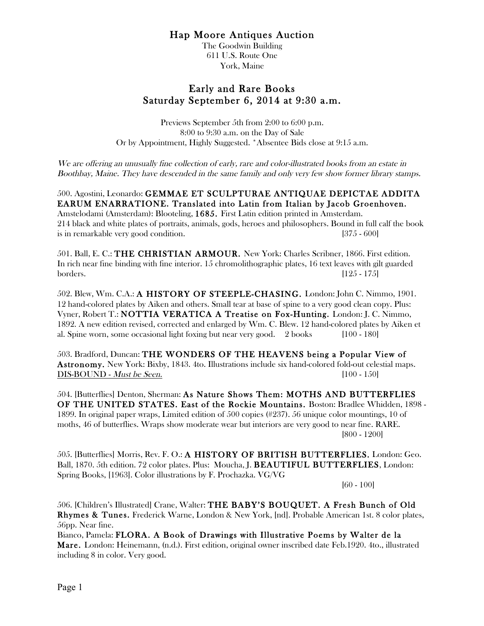## Hap Moore Antiques Auction

The Goodwin Building 611 U.S. Route One York, Maine

## Early and Rare Books Saturday September 6, 2014 at 9:30 a.m.

Previews September 5th from 2:00 to 6:00 p.m. 8:00 to 9:30 a.m. on the Day of Sale Or by Appointment, Highly Suggested. \*Absentee Bids close at 9:15 a.m.

We are offering an unusually fine collection of early, rare and color-illustrated books from an estate in Boothbay, Maine. They have descended in the same family and only very few show former library stamps.

500. Agostini, Leonardo: GEMMAE ET SCULPTURAE ANTIQUAE DEPICTAE ADDITA EARUM ENARRATIONE. Translated into Latin from Italian by Jacob Groenhoven. Amstelodami (Amsterdam): Blooteling, 1685. First Latin edition printed in Amsterdam. 214 black and white plates of portraits, animals, gods, heroes and philosophers. Bound in full calf the book is in remarkable very good condition. [375 - 600]

501. Ball, E. C.: THE CHRISTIAN ARMOUR. New York: Charles Scribner, 1866. First edition. In rich near fine binding with fine interior. 15 chromolithographic plates, 16 text leaves with gilt guarded borders. [125 - 175]

502. Blew, Wm. C.A.: A HISTORY OF STEEPLE-CHASING. London: John C. Nimmo, 1901. 12 hand-colored plates by Aiken and others. Small tear at base of spine to a very good clean copy. Plus: Vyner, Robert T.: NOTTIA VERATICA A Treatise on Fox-Hunting. London: J. C. Nimmo, 1892. A new edition revised, corrected and enlarged by Wm. C. Blew. 12 hand-colored plates by Aiken et al. Spine worn, some occasional light foxing but near very good. 2 books [100 - 180]

503. Bradford, Duncan: THE WONDERS OF THE HEAVENS being a Popular View of Astronomy. New York: Bixby, 1843. 4to. Illustrations include six hand-colored fold-out celestial maps. DIS-BOUND - *Must be Seen.* [100 - 150]

504. [Butterflies] Denton, Sherman: As Nature Shows Them: MOTHS AND BUTTERFLIES OF THE UNITED STATES. East of the Rockie Mountains. Boston: Bradlee Whidden, 1898 - 1899. In original paper wraps, Limited edition of 500 copies (#237). 56 unique color mountings, 10 of moths, 46 of butterflies. Wraps show moderate wear but interiors are very good to near fine. RARE. [800 - 1200]

505. [Butterflies] Morris, Rev. F. O.: A HISTORY OF BRITISH BUTTERFLIES. London: Geo. Ball, 1870. 5th edition. 72 color plates. Plus: Moucha, J. BEAUTIFUL BUTTERFLIES, London: Spring Books, [1963]. Color illustrations by F. Prochazka. VG/VG

[60 - 100]

506. [Children's Illustrated] Crane, Walter: THE BABY'S BOUQUET. A Fresh Bunch of Old Rhymes & Tunes. Frederick Warne, London & New York, [nd]. Probable American 1st. 8 color plates, 56pp. Near fine.

Bianco, Pamela: FLORA. A Book of Drawings with Illustrative Poems by Walter de la Mare. London: Heinemann, (n.d.). First edition, original owner inscribed date Feb.1920. 4to., illustrated including 8 in color. Very good.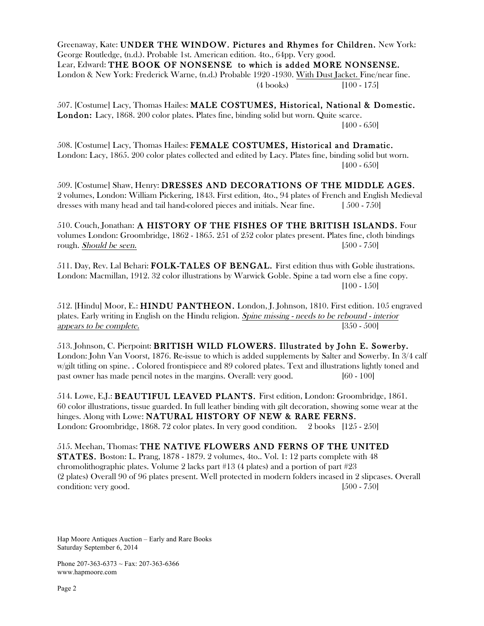Greenaway, Kate: UNDER THE WINDOW. Pictures and Rhymes for Children. New York: George Routledge, (n.d.). Probable 1st. American edition. 4to., 64pp. Very good. Lear, Edward: THE BOOK OF NONSENSE to which is added MORE NONSENSE. London & New York: Frederick Warne, (n.d.) Probable 1920 -1930. With Dust Jacket. Fine/near fine. (4 books) [100 - 175]

507. [Costume] Lacy, Thomas Hailes: MALE COSTUMES, Historical, National & Domestic. London: Lacy, 1868. 200 color plates. Plates fine, binding solid but worn. Quite scarce. [400 - 650]

508. [Costume] Lacy, Thomas Hailes: FEMALE COSTUMES, Historical and Dramatic. London: Lacy, 1865. 200 color plates collected and edited by Lacy. Plates fine, binding solid but worn. [400 - 650]

509. [Costume] Shaw, Henry: DRESSES AND DECORATIONS OF THE MIDDLE AGES. 2 volumes, London: William Pickering, 1843. First edition, 4to., 94 plates of French and English Medieval dresses with many head and tail hand-colored pieces and initials. Near fine. [ 500 - 750]

510. Couch, Jonathan: A HISTORY OF THE FISHES OF THE BRITISH ISLANDS. Four volumes London: Groombridge, 1862 - 1865. 251 of 252 color plates present. Plates fine, cloth bindings rough. Should be seen. [500 - 750]

511. Day, Rev. Lal Behari: FOLK-TALES OF BENGAL. First edition thus with Goble ilustrations. London: Macmillan, 1912. 32 color illustrations by Warwick Goble. Spine a tad worn else a fine copy. [100 - 150]

512. [Hindu] Moor, E.: HINDU PANTHEON. London, J. Johnson, 1810. First edition. 105 engraved plates. Early writing in English on the Hindu religion. Spine missing - needs to be rebound - interior appears to be complete. [350 - 500]

513. Johnson, C. Pierpoint: BRITISH WILD FLOWERS. Illustrated by John E. Sowerby. London: John Van Voorst, 1876. Re-issue to which is added supplements by Salter and Sowerby. In 3/4 calf w/gilt titling on spine. . Colored frontispiece and 89 colored plates. Text and illustrations lightly toned and past owner has made pencil notes in the margins. Overall: very good. [60 - 100]

514. Lowe, E.J.: BEAUTIFUL LEAVED PLANTS. First edition, London: Groombridge, 1861. 60 color illustrations, tissue guarded. In full leather binding with gilt decoration, showing some wear at the hinges. Along with Lowe: NATURAL HISTORY OF NEW & RARE FERNS. London: Groombridge, 1868. 72 color plates. In very good condition. 2 books [125 - 250]

515. Meehan, Thomas: THE NATIVE FLOWERS AND FERNS OF THE UNITED STATES. Boston: L. Prang, 1878 - 1879. 2 volumes, 4to.. Vol. 1: 12 parts complete with 48 chromolithographic plates. Volume 2 lacks part #13 (4 plates) and a portion of part #23 (2 plates) Overall 90 of 96 plates present. Well protected in modern folders incased in 2 slipcases. Overall condition: very good. [500 - 750]

Hap Moore Antiques Auction – Early and Rare Books Saturday September 6, 2014

Phone 207-363-6373  $\sim$  Fax: 207-363-6366 www.hapmoore.com